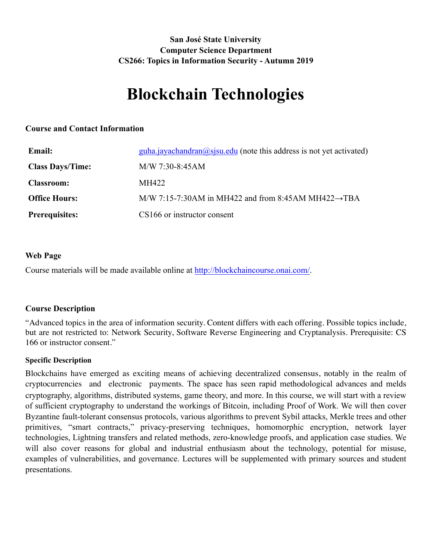# **San José State University Computer Science Department CS266: Topics in Information Security - Autumn 2019**

# **Blockchain Technologies**

## **Course and Contact Information**

| <b>Email:</b>           | guha.jayachandran@sjsu.edu (note this address is not yet activated) |
|-------------------------|---------------------------------------------------------------------|
| <b>Class Days/Time:</b> | $M/W$ 7:30-8:45AM                                                   |
| <b>Classroom:</b>       | MH422                                                               |
| <b>Office Hours:</b>    | M/W 7:15-7:30AM in MH422 and from 8:45AM MH422 $\rightarrow$ TBA    |
| <b>Prerequisites:</b>   | CS166 or instructor consent                                         |

## **Web Page**

Course materials will be made available online at <http://blockchaincourse.onai.com/>.

## **Course Description**

"Advanced topics in the area of information security. Content differs with each offering. Possible topics include, but are not restricted to: Network Security, Software Reverse Engineering and Cryptanalysis. Prerequisite: CS 166 or instructor consent."

## **Specific Description**

Blockchains have emerged as exciting means of achieving decentralized consensus, notably in the realm of cryptocurrencies and electronic payments. The space has seen rapid methodological advances and melds cryptography, algorithms, distributed systems, game theory, and more. In this course, we will start with a review of sufficient cryptography to understand the workings of Bitcoin, including Proof of Work. We will then cover Byzantine fault-tolerant consensus protocols, various algorithms to prevent Sybil attacks, Merkle trees and other primitives, "smart contracts," privacy-preserving techniques, homomorphic encryption, network layer technologies, Lightning transfers and related methods, zero-knowledge proofs, and application case studies. We will also cover reasons for global and industrial enthusiasm about the technology, potential for misuse, examples of vulnerabilities, and governance. Lectures will be supplemented with primary sources and student presentations.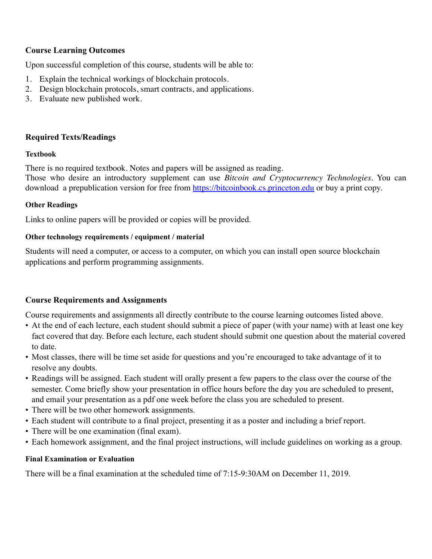# **Course Learning Outcomes**

Upon successful completion of this course, students will be able to:

- 1. Explain the technical workings of blockchain protocols.
- 2. Design blockchain protocols, smart contracts, and applications.
- 3. Evaluate new published work.

## **Required Texts/Readings**

#### **Textbook**

There is no required textbook. Notes and papers will be assigned as reading. Those who desire an introductory supplement can use *Bitcoin and Cryptocurrency Technologies*. You can download a prepublication version for free from<https://bitcoinbook.cs.princeton.edu>or buy a print copy.

## **Other Readings**

Links to online papers will be provided or copies will be provided.

## **Other technology requirements / equipment / material**

Students will need a computer, or access to a computer, on which you can install open source blockchain applications and perform programming assignments.

## **Course Requirements and Assignments**

Course requirements and assignments all directly contribute to the course learning outcomes listed above.

- At the end of each lecture, each student should submit a piece of paper (with your name) with at least one key fact covered that day. Before each lecture, each student should submit one question about the material covered to date.
- Most classes, there will be time set aside for questions and you're encouraged to take advantage of it to resolve any doubts.
- Readings will be assigned. Each student will orally present a few papers to the class over the course of the semester. Come briefly show your presentation in office hours before the day you are scheduled to present, and email your presentation as a pdf one week before the class you are scheduled to present.
- There will be two other homework assignments.
- Each student will contribute to a final project, presenting it as a poster and including a brief report.
- There will be one examination (final exam).
- Each homework assignment, and the final project instructions, will include guidelines on working as a group.

#### **Final Examination or Evaluation**

There will be a final examination at the scheduled time of 7:15-9:30AM on December 11, 2019.